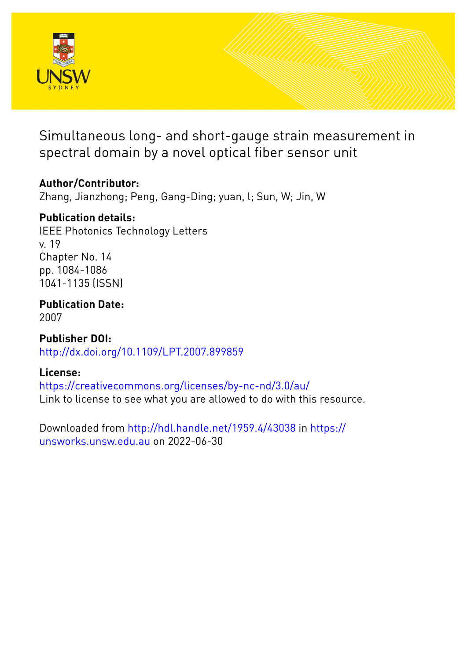

Simultaneous long- and short-gauge strain measurement in spectral domain by a novel optical fiber sensor unit

# **Author/Contributor:**

Zhang, Jianzhong; Peng, Gang-Ding; yuan, l; Sun, W; Jin, W

# **Publication details:**

IEEE Photonics Technology Letters v. 19 Chapter No. 14 pp. 1084-1086 1041-1135 (ISSN)

**Publication Date:** 2007

**Publisher DOI:** [http://dx.doi.org/10.1109/LPT.2007.899859](http://dx.doi.org/http://dx.doi.org/10.1109/LPT.2007.899859)

# **License:**

<https://creativecommons.org/licenses/by-nc-nd/3.0/au/> Link to license to see what you are allowed to do with this resource.

Downloaded from <http://hdl.handle.net/1959.4/43038> in [https://](https://unsworks.unsw.edu.au) [unsworks.unsw.edu.au](https://unsworks.unsw.edu.au) on 2022-06-30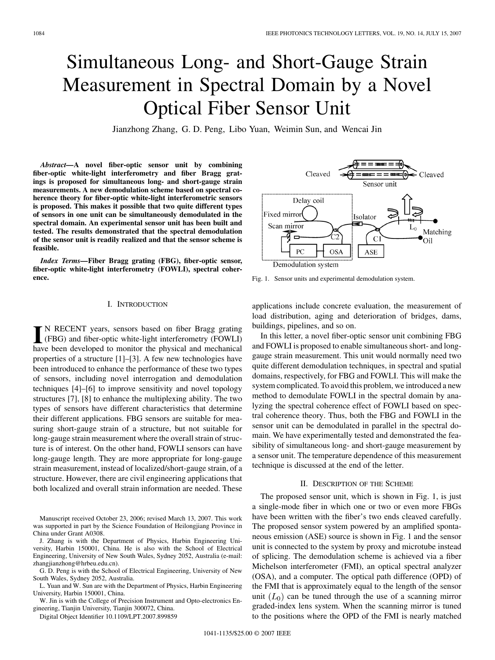# Simultaneous Long- and Short-Gauge Strain Measurement in Spectral Domain by a Novel Optical Fiber Sensor Unit

Jianzhong Zhang, G. D. Peng, Libo Yuan, Weimin Sun, and Wencai Jin

*Abstract—***A novel fiber-optic sensor unit by combining fiber-optic white-light interferometry and fiber Bragg gratings is proposed for simultaneous long- and short-gauge strain measurements. A new demodulation scheme based on spectral coherence theory for fiber-optic white-light interferometric sensors is proposed. This makes it possible that two quite different types of sensors in one unit can be simultaneously demodulated in the spectral domain. An experimental sensor unit has been built and tested. The results demonstrated that the spectral demodulation of the sensor unit is readily realized and that the sensor scheme is feasible.**

*Index Terms—***Fiber Bragg grating (FBG), fiber-optic sensor, fiber-optic white-light interferometry (FOWLI), spectral coherence.**



Fig. 1. Sensor units and experimental demodulation system.

#### I. INTRODUCTION

**I** N RECENT years, sensors based on fiber Bragg grating (FBG) and fiber-optic white-light interferometry (FOWLI) have been developed to monitor the physical and mechanical properties of a structure [1]–[3]. A few new technologies have been introduced to enhance the performance of these two types of sensors, including novel interrogation and demodulation techniques [4]–[6] to improve sensitivity and novel topology structures [7], [8] to enhance the multiplexing ability. The two types of sensors have different characteristics that determine their different applications. FBG sensors are suitable for measuring short-gauge strain of a structure, but not suitable for long-gauge strain measurement where the overall strain of structure is of interest. On the other hand, FOWLI sensors can have long-gauge length. They are more appropriate for long-gauge strain measurement, instead of localized/short-gauge strain, of a structure. However, there are civil engineering applications that both localized and overall strain information are needed. These

Manuscript received October 23, 2006; revised March 13, 2007. This work was supported in part by the Science Foundation of Heilongjiang Province in China under Grant A0308.

J. Zhang is with the Department of Physics, Harbin Engineering University, Harbin 150001, China. He is also with the School of Electrical Engineering, University of New South Wales, Sydney 2052, Australia (e-mail: zhangjianzhong@hrbeu.edu.cn).

G. D. Peng is with the School of Electrical Engineering, University of New South Wales, Sydney 2052, Australia.

L. Yuan and W. Sun are with the Department of Physics, Harbin Engineering University, Harbin 150001, China.

W. Jin is with the College of Precision Instrument and Opto-electronics Engineering, Tianjin University, Tianjin 300072, China.

Digital Object Identifier 10.1109/LPT.2007.899859

applications include concrete evaluation, the measurement of load distribution, aging and deterioration of bridges, dams, buildings, pipelines, and so on.

In this letter, a novel fiber-optic sensor unit combining FBG and FOWLI is proposed to enable simultaneous short- and longgauge strain measurement. This unit would normally need two quite different demodulation techniques, in spectral and spatial domains, respectively, for FBG and FOWLI. This will make the system complicated. To avoid this problem, we introduced a new method to demodulate FOWLI in the spectral domain by analyzing the spectral coherence effect of FOWLI based on spectral coherence theory. Thus, both the FBG and FOWLI in the sensor unit can be demodulated in parallel in the spectral domain. We have experimentally tested and demonstrated the feasibility of simultaneous long- and short-gauge measurement by a sensor unit. The temperature dependence of this measurement technique is discussed at the end of the letter.

#### II. DESCRIPTION OF THE SCHEME

The proposed sensor unit, which is shown in Fig. 1, is just a single-mode fiber in which one or two or even more FBGs have been written with the fiber's two ends cleaved carefully. The proposed sensor system powered by an amplified spontaneous emission (ASE) source is shown in Fig. 1 and the sensor unit is connected to the system by proxy and microtube instead of splicing. The demodulation scheme is achieved via a fiber Michelson interferometer (FMI), an optical spectral analyzer (OSA), and a computer. The optical path difference (OPD) of the FMI that is approximately equal to the length of the sensor unit  $(L_0)$  can be tuned through the use of a scanning mirror graded-index lens system. When the scanning mirror is tuned to the positions where the OPD of the FMI is nearly matched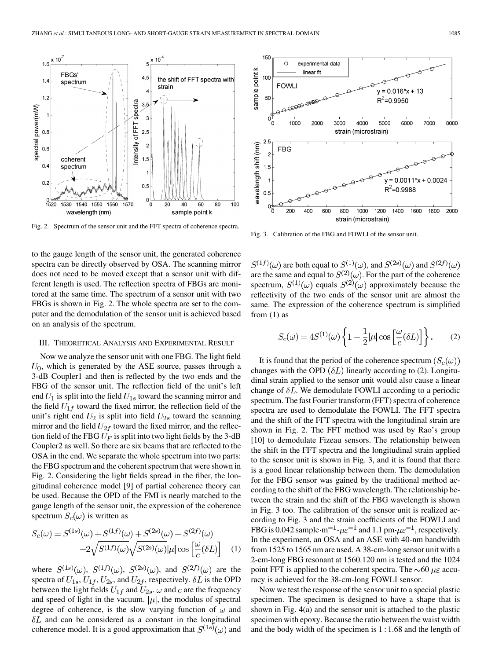

Fig. 2. Spectrum of the sensor unit and the FFT spectra of coherence spectra.

to the gauge length of the sensor unit, the generated coherence spectra can be directly observed by OSA. The scanning mirror does not need to be moved except that a sensor unit with different length is used. The reflection spectra of FBGs are monitored at the same time. The spectrum of a sensor unit with two FBGs is shown in Fig. 2. The whole spectra are set to the computer and the demodulation of the sensor unit is achieved based on an analysis of the spectrum.

## III. THEORETICAL ANALYSIS AND EXPERIMENTAL RESULT

Now we analyze the sensor unit with one FBG. The light field  $U_0$ , which is generated by the ASE source, passes through a 3-dB Coupler1 and then is reflected by the two ends and the FBG of the sensor unit. The reflection field of the unit's left end  $U_1$  is split into the field  $U_{1s}$  toward the scanning mirror and the field  $U_{1f}$  toward the fixed mirror, the reflection field of the unit's right end  $U_2$  is split into field  $U_{2s}$  toward the scanning mirror and the field  $U_{2f}$  toward the fixed mirror, and the reflection field of the FBG  $U_F$  is split into two light fields by the 3-dB Coupler2 as well. So there are six beams that are reflected to the OSA in the end. We separate the whole spectrum into two parts: the FBG spectrum and the coherent spectrum that were shown in Fig. 2. Considering the light fields spread in the fiber, the longitudinal coherence model [9] of partial coherence theory can be used. Because the OPD of the FMI is nearly matched to the gauge length of the sensor unit, the expression of the coherence spectrum  $S_c(\omega)$  is written as

$$
S_c(\omega) = S^{(1s)}(\omega) + S^{(1f)}(\omega) + S^{(2s)}(\omega) + S^{(2f)}(\omega) + 2\sqrt{S^{(1f)}(\omega)}\sqrt{S^{(2s)}(\omega)}|\mu| \cos\left[\frac{\omega}{c}(\delta L)\right]
$$
 (1)

where  $S^{(1s)}(\omega)$ ,  $S^{(1f)}(\omega)$ ,  $S^{(2s)}(\omega)$ , and  $S^{(2f)}(\omega)$  are the spectra of  $U_{1s}$ ,  $U_{1f}$ ,  $U_{2s}$ , and  $U_{2f}$ , respectively.  $\delta L$  is the OPD between the light fields  $U_{1f}$  and  $U_{2s}$ .  $\omega$  and c are the frequency and speed of light in the vacuum.  $|\mu|$ , the modulus of spectral degree of coherence, is the slow varying function of  $\omega$  and  $\delta L$  and can be considered as a constant in the longitudinal coherence model. It is a good approximation that  $S^{(1s)}(\omega)$  and



Fig. 3. Calibration of the FBG and FOWLI of the sensor unit.

 $S^{(1f)}(\omega)$  are both equal to  $S^{(1)}(\omega)$ , and  $S^{(2s)}(\omega)$  and  $S^{(2f)}(\omega)$ are the same and equal to  $S^{(2)}(\omega)$ . For the part of the coherence spectrum,  $S^{(1)}(\omega)$  equals  $S^{(2)}(\omega)$  approximately because the reflectivity of the two ends of the sensor unit are almost the same. The expression of the coherence spectrum is simplified from (1) as

$$
S_c(\omega) = 4S^{(1)}(\omega) \left\{ 1 + \frac{1}{2} |\mu| \cos \left[ \frac{\omega}{c} (\delta L) \right] \right\}.
$$
 (2)

It is found that the period of the coherence spectrum  $(S_c(\omega))$ changes with the OPD  $(\delta L)$  linearly according to (2). Longitudinal strain applied to the sensor unit would also cause a linear change of  $\delta L$ . We demodulate FOWLI according to a periodic spectrum. The fast Fourier transform (FFT) spectra of coherence spectra are used to demodulate the FOWLI. The FFT spectra and the shift of the FFT spectra with the longitudinal strain are shown in Fig. 2. The FFT method was used by Rao's group [10] to demodulate Fizeau sensors. The relationship between the shift in the FFT spectra and the longitudinal strain applied to the sensor unit is shown in Fig. 3, and it is found that there is a good linear relationship between them. The demodulation for the FBG sensor was gained by the traditional method according to the shift of the FBG wavelength. The relationship between the strain and the shift of the FBG wavelength is shown in Fig. 3 too. The calibration of the sensor unit is realized according to Fig. 3 and the strain coefficients of the FOWLI and FBG is 0.042 sample  $m^{-1}$   $\mu \varepsilon^{-1}$  and 1.1 pm  $\mu \varepsilon^{-1}$ , respectively. In the experiment, an OSA and an ASE with 40-nm bandwidth from 1525 to 1565 nm are used. A 38-cm-long sensor unit with a 2-cm-long FBG resonant at 1560.120 nm is tested and the 1024 point FFT is applied to the coherent spectra. The  $\sim 60 \mu \varepsilon$  accuracy is achieved for the 38-cm-long FOWLI sensor.

Now we test the response of the sensor unit to a special plastic specimen. The specimen is designed to have a shape that is shown in Fig. 4(a) and the sensor unit is attached to the plastic specimen with epoxy. Because the ratio between the waist width and the body width of the specimen is 1 : 1.68 and the length of